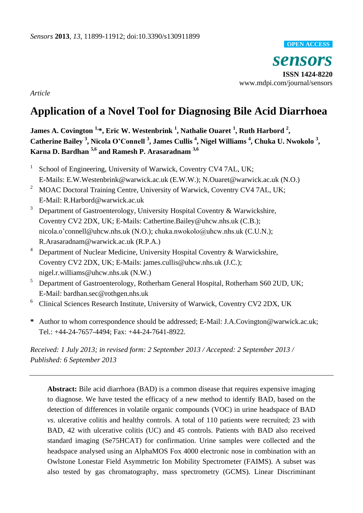

**OPEN ACCESS**

*Article*

# **Application of a Novel Tool for Diagnosing Bile Acid Diarrhoea**

**James A. Covington 1, \*, Eric W. Westenbrink <sup>1</sup> , Nathalie Ouaret <sup>1</sup> , Ruth Harbord <sup>2</sup> , Catherine Bailey <sup>3</sup> , Nicola O'Connell <sup>3</sup> , James Cullis <sup>4</sup> , Nigel Williams <sup>4</sup> , Chuka U. Nwokolo <sup>3</sup> , Karna D. Bardhan 5,6 and Ramesh P. Arasaradnam 3,6**

- 1 School of Engineering, University of Warwick, Coventry CV4 7AL, UK; E-Mails: E.W.Westenbrink@warwick.ac.uk (E.W.W.); N.Ouaret@warwick.ac.uk (N.O.)
- <sup>2</sup> MOAC Doctoral Training Centre, University of Warwick, Coventry CV4 7AL, UK; E-Mail: R.Harbord@warwick.ac.uk
- <sup>3</sup> Department of Gastroenterology, University Hospital Coventry & Warwickshire, Coventry CV2 2DX, UK; E-Mails: Cathertine.Bailey@uhcw.nhs.uk (C.B.); nicola.o'connell@uhcw.nhs.uk (N.O.); chuka.nwokolo@uhcw.nhs.uk (C.U.N.); R.Arasaradnam@warwick.ac.uk (R.P.A.)
- <sup>4</sup> Department of Nuclear Medicine, University Hospital Coventry  $\&$  Warwickshire, Coventry CV2 2DX, UK; E-Mails: james.cullis@uhcw.nhs.uk (J.C.); nigel.r.williams@uhcw.nhs.uk (N.W.)
- <sup>5</sup> Department of Gastroenterology, Rotherham General Hospital, Rotherham S60 2UD, UK; E-Mail: bardhan.sec@rothgen.nhs.uk
- <sup>6</sup> Clinical Sciences Research Institute, University of Warwick, Coventry CV2 2DX, UK
- **\*** Author to whom correspondence should be addressed; E-Mail: J.A.Covington@warwick.ac.uk; Tel.: +44-24-7657-4494; Fax: +44-24-7641-8922.

*Received: 1 July 2013; in revised form: 2 September 2013 / Accepted: 2 September 2013 / Published: 6 September 2013*

**Abstract:** Bile acid diarrhoea (BAD) is a common disease that requires expensive imaging to diagnose. We have tested the efficacy of a new method to identify BAD, based on the detection of differences in volatile organic compounds (VOC) in urine headspace of BAD *vs*. ulcerative colitis and healthy controls. A total of 110 patients were recruited; 23 with BAD, 42 with ulcerative colitis (UC) and 45 controls. Patients with BAD also received standard imaging (Se75HCAT) for confirmation. Urine samples were collected and the headspace analysed using an AlphaMOS Fox 4000 electronic nose in combination with an Owlstone Lonestar Field Asymmetric Ion Mobility Spectrometer (FAIMS). A subset was also tested by gas chromatography, mass spectrometry (GCMS). Linear Discriminant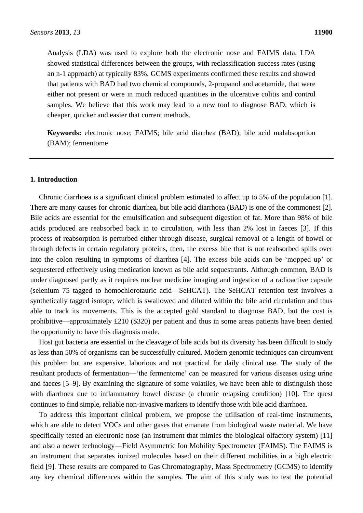Analysis (LDA) was used to explore both the electronic nose and FAIMS data. LDA showed statistical differences between the groups, with reclassification success rates (using an n-1 approach) at typically 83%. GCMS experiments confirmed these results and showed that patients with BAD had two chemical compounds, 2-propanol and acetamide, that were either not present or were in much reduced quantities in the ulcerative colitis and control samples. We believe that this work may lead to a new tool to diagnose BAD, which is cheaper, quicker and easier that current methods.

**Keywords:** electronic nose; FAIMS; bile acid diarrhea (BAD); bile acid malabsoprtion (BAM); fermentome

#### **1. Introduction**

Chronic diarrhoea is a significant clinical problem estimated to affect up to 5% of the population [1]. There are many causes for chronic diarrhea, but bile acid diarrhoea (BAD) is one of the commonest [2]. Bile acids are essential for the emulsification and subsequent digestion of fat. More than 98% of bile acids produced are reabsorbed back in to circulation, with less than 2% lost in faeces [3]. If this process of reabsorption is perturbed either through disease, surgical removal of a length of bowel or through defects in certain regulatory proteins, then, the excess bile that is not reabsorbed spills over into the colon resulting in symptoms of diarrhea  $[4]$ . The excess bile acids can be 'mopped up' or sequestered effectively using medication known as bile acid sequestrants. Although common, BAD is under diagnosed partly as it requires nuclear medicine imaging and ingestion of a radioactive capsule (selenium 75 tagged to homochlorotauric acid—SeHCAT). The SeHCAT retention test involves a synthetically tagged isotope, which is swallowed and diluted within the bile acid circulation and thus able to track its movements. This is the accepted gold standard to diagnose BAD, but the cost is prohibitive—approximately £210 (\$320) per patient and thus in some areas patients have been denied the opportunity to have this diagnosis made.

Host gut bacteria are essential in the cleavage of bile acids but its diversity has been difficult to study as less than 50% of organisms can be successfully cultured. Modern genomic techniques can circumvent this problem but are expensive, laborious and not practical for daily clinical use. The study of the resultant products of fermentation—'the fermentome' can be measured for various diseases using urine and faeces [5–9]. By examining the signature of some volatiles, we have been able to distinguish those with diarrhoea due to inflammatory bowel disease (a chronic relapsing condition) [10]. The quest continues to find simple, reliable non-invasive markers to identify those with bile acid diarrhoea.

To address this important clinical problem, we propose the utilisation of real-time instruments, which are able to detect VOCs and other gases that emanate from biological waste material. We have specifically tested an electronic nose (an instrument that mimics the biological olfactory system) [11] and also a newer technology—Field Asymmetric Ion Mobility Spectrometer (FAIMS). The FAIMS is an instrument that separates ionized molecules based on their different mobilities in a high electric field [9]. These results are compared to Gas Chromatography, Mass Spectrometry (GCMS) to identify any key chemical differences within the samples. The aim of this study was to test the potential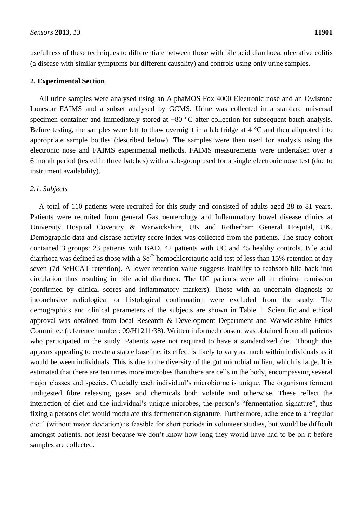usefulness of these techniques to differentiate between those with bile acid diarrhoea, ulcerative colitis (a disease with similar symptoms but different causality) and controls using only urine samples.

## **2. Experimental Section**

All urine samples were analysed using an AlphaMOS Fox 4000 Electronic nose and an Owlstone Lonestar FAIMS and a subset analysed by GCMS. Urine was collected in a standard universal specimen container and immediately stored at −80 °C after collection for subsequent batch analysis. Before testing, the samples were left to thaw overnight in a lab fridge at  $4 \text{ }^{\circ}$  C and then aliquoted into appropriate sample bottles (described below). The samples were then used for analysis using the electronic nose and FAIMS experimental methods. FAIMS measurements were undertaken over a 6 month period (tested in three batches) with a sub-group used for a single electronic nose test (due to instrument availability).

## *2.1. Subjects*

A total of 110 patients were recruited for this study and consisted of adults aged 28 to 81 years. Patients were recruited from general Gastroenterology and Inflammatory bowel disease clinics at University Hospital Coventry & Warwickshire, UK and Rotherham General Hospital, UK. Demographic data and disease activity score index was collected from the patients. The study cohort contained 3 groups: 23 patients with BAD, 42 patients with UC and 45 healthy controls. Bile acid diarrhoea was defined as those with a  $\text{Se}^{75}$  homochlorotauric acid test of less than 15% retention at day seven (7d SeHCAT retention). A lower retention value suggests inability to reabsorb bile back into circulation thus resulting in bile acid diarrhoea. The UC patients were all in clinical remission (confirmed by clinical scores and inflammatory markers). Those with an uncertain diagnosis or inconclusive radiological or histological confirmation were excluded from the study. The demographics and clinical parameters of the subjects are shown in Table 1. Scientific and ethical approval was obtained from local Research & Development Department and Warwickshire Ethics Committee (reference number: 09/H1211/38). Written informed consent was obtained from all patients who participated in the study. Patients were not required to have a standardized diet. Though this appears appealing to create a stable baseline, its effect is likely to vary as much within individuals as it would between individuals. This is due to the diversity of the gut microbial milieu, which is large. It is estimated that there are ten times more microbes than there are cells in the body, encompassing several major classes and species. Crucially each individual's microbiome is unique. The organisms ferment undigested fibre releasing gases and chemicals both volatile and otherwise. These reflect the interaction of diet and the individual's unique microbes, the person's "fermentation signature", thus fixing a persons diet would modulate this fermentation signature. Furthermore, adherence to a "regular diet" (without major deviation) is feasible for short periods in volunteer studies, but would be difficult amongst patients, not least because we don't know how long they would have had to be on it before samples are collected.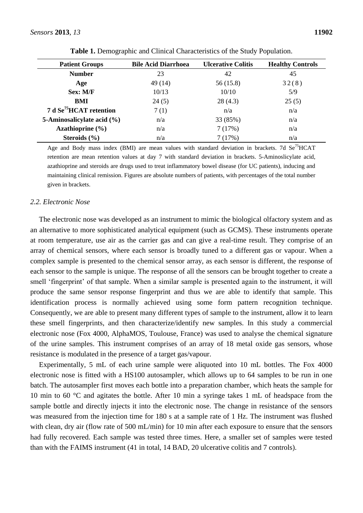| <b>Patient Groups</b>               | <b>Bile Acid Diarrhoea</b> | <b>Ulcerative Colitis</b> | <b>Healthy Controls</b> |
|-------------------------------------|----------------------------|---------------------------|-------------------------|
| <b>Number</b>                       | 23                         | 42                        | 45                      |
| Age                                 | 49 (14)                    | 56(15.8)                  | 32(8)                   |
| Sex: M/F                            | 10/13                      | 10/10                     | 5/9                     |
| BMI                                 | 24(5)                      | 28(4.3)                   | 25(5)                   |
| 7 d Se <sup>75</sup> HCAT retention | 7(1)                       | n/a                       | n/a                     |
| 5-Aminosalicylate acid $(\% )$      | n/a                        | 33 (85%)                  | n/a                     |
| Azathioprine $(\% )$                | n/a                        | 7(17%)                    | n/a                     |
| Steroids $(\% )$                    | n/a                        | 7 (17%)                   | n/a                     |

**Table 1.** Demographic and Clinical Characteristics of the Study Population.

Age and Body mass index (BMI) are mean values with standard deviation in brackets. 7d  $\text{Se}^{75}$ HCAT retention are mean retention values at day 7 with standard deviation in brackets. 5-Aminoslicylate acid, azathioprine and steroids are drugs used to treat inflammatory bowel disease (for UC patients), inducing and maintaining clinical remission. Figures are absolute numbers of patients, with percentages of the total number given in brackets.

## *2.2. Electronic Nose*

The electronic nose was developed as an instrument to mimic the biological olfactory system and as an alternative to more sophisticated analytical equipment (such as GCMS). These instruments operate at room temperature, use air as the carrier gas and can give a real-time result. They comprise of an array of chemical sensors, where each sensor is broadly tuned to a different gas or vapour. When a complex sample is presented to the chemical sensor array, as each sensor is different, the response of each sensor to the sample is unique. The response of all the sensors can be brought together to create a smell 'fingerprint' of that sample. When a similar sample is presented again to the instrument, it will produce the same sensor response fingerprint and thus we are able to identify that sample. This identification process is normally achieved using some form pattern recognition technique. Consequently, we are able to present many different types of sample to the instrument, allow it to learn these smell fingerprints, and then characterize/identify new samples. In this study a commercial electronic nose (Fox 4000, AlphaMOS, Toulouse, France) was used to analyse the chemical signature of the urine samples. This instrument comprises of an array of 18 metal oxide gas sensors, whose resistance is modulated in the presence of a target gas/vapour.

Experimentally, 5 mL of each urine sample were aliquoted into 10 mL bottles. The Fox 4000 electronic nose is fitted with a HS100 autosampler, which allows up to 64 samples to be run in one batch. The autosampler first moves each bottle into a preparation chamber, which heats the sample for 10 min to 60  $\degree$ C and agitates the bottle. After 10 min a syringe takes 1 mL of headspace from the sample bottle and directly injects it into the electronic nose. The change in resistance of the sensors was measured from the injection time for 180 s at a sample rate of 1 Hz. The instrument was flushed with clean, dry air (flow rate of 500 mL/min) for 10 min after each exposure to ensure that the sensors had fully recovered. Each sample was tested three times. Here, a smaller set of samples were tested than with the FAIMS instrument (41 in total, 14 BAD, 20 ulcerative colitis and 7 controls).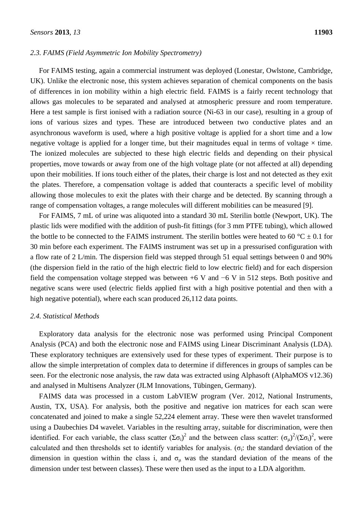## *2.3. FAIMS (Field Asymmetric Ion Mobility Spectrometry)*

For FAIMS testing, again a commercial instrument was deployed (Lonestar, Owlstone, Cambridge, UK). Unlike the electronic nose, this system achieves separation of chemical components on the basis of differences in ion mobility within a high electric field. FAIMS is a fairly recent technology that allows gas molecules to be separated and analysed at atmospheric pressure and room temperature. Here a test sample is first ionised with a radiation source (Ni-63 in our case), resulting in a group of ions of various sizes and types. These are introduced between two conductive plates and an asynchronous waveform is used, where a high positive voltage is applied for a short time and a low negative voltage is applied for a longer time, but their magnitudes equal in terms of voltage  $\times$  time. The ionized molecules are subjected to these high electric fields and depending on their physical properties, move towards or away from one of the high voltage plate (or not affected at all) depending upon their mobilities. If ions touch either of the plates, their charge is lost and not detected as they exit the plates. Therefore, a compensation voltage is added that counteracts a specific level of mobility allowing those molecules to exit the plates with their charge and be detected. By scanning through a range of compensation voltages, a range molecules will different mobilities can be measured [9].

For FAIMS, 7 mL of urine was aliquoted into a standard 30 mL Sterilin bottle (Newport, UK). The plastic lids were modified with the addition of push-fit fittings (for 3 mm PTFE tubing), which allowed the bottle to be connected to the FAIMS instrument. The sterilin bottles were heated to 60 °C  $\pm$  0.1 for 30 min before each experiment. The FAIMS instrument was set up in a pressurised configuration with a flow rate of 2 L/min. The dispersion field was stepped through 51 equal settings between 0 and 90% (the dispersion field in the ratio of the high electric field to low electric field) and for each dispersion field the compensation voltage stepped was between +6 V and −6 V in 512 steps. Both positive and negative scans were used (electric fields applied first with a high positive potential and then with a high negative potential), where each scan produced 26,112 data points.

# *2.4. Statistical Methods*

Exploratory data analysis for the electronic nose was performed using Principal Component Analysis (PCA) and both the electronic nose and FAIMS using Linear Discriminant Analysis (LDA). These exploratory techniques are extensively used for these types of experiment. Their purpose is to allow the simple interpretation of complex data to determine if differences in groups of samples can be seen. For the electronic nose analysis, the raw data was extracted using Alphasoft (AlphaMOS v12.36) and analysed in Multisens Analyzer (JLM Innovations, Tübingen, Germany).

FAIMS data was processed in a custom LabVIEW program (Ver. 2012, National Instruments, Austin, TX, USA). For analysis, both the positive and negative ion matrices for each scan were concatenated and joined to make a single 52,224 element array. These were then wavelet transformed using a Daubechies D4 wavelet. Variables in the resulting array, suitable for discrimination, were then identified. For each variable, the class scatter  $(\Sigma \sigma_i)^2$  and the between class scatter:  $(\sigma_\mu)^2/(\Sigma \sigma_i)^2$ , were calculated and then thresholds set to identify variables for analysis. ( $\sigma_i$ : the standard deviation of the dimension in question within the class i, and  $\sigma_{\mu}$  was the standard deviation of the means of the dimension under test between classes). These were then used as the input to a LDA algorithm.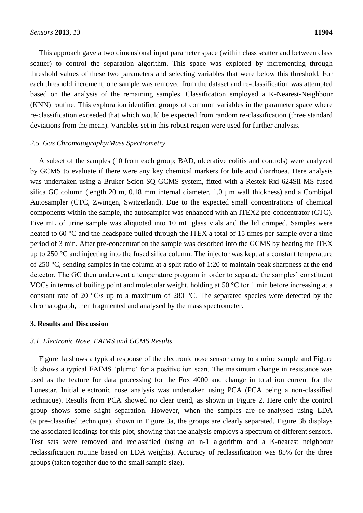This approach gave a two dimensional input parameter space (within class scatter and between class scatter) to control the separation algorithm. This space was explored by incrementing through threshold values of these two parameters and selecting variables that were below this threshold. For each threshold increment, one sample was removed from the dataset and re-classification was attempted based on the analysis of the remaining samples. Classification employed a K-Nearest-Neighbour (KNN) routine. This exploration identified groups of common variables in the parameter space where re-classification exceeded that which would be expected from random re-classification (three standard deviations from the mean). Variables set in this robust region were used for further analysis.

## *2.5. Gas Chromatography/Mass Spectrometry*

A subset of the samples (10 from each group; BAD, ulcerative colitis and controls) were analyzed by GCMS to evaluate if there were any key chemical markers for bile acid diarrhoea. Here analysis was undertaken using a Bruker Scion SQ GCMS system, fitted with a Restek Rxi-624Sil MS fused silica GC column (length 20 m, 0.18 mm internal diameter, 1.0  $\mu$ m wall thickness) and a Combipal Autosampler (CTC, Zwingen, Switzerland). Due to the expected small concentrations of chemical components within the sample, the autosampler was enhanced with an ITEX2 pre-concentrator (CTC). Five mL of urine sample was aliquoted into 10 mL glass vials and the lid crimped. Samples were heated to 60  $\degree$ C and the headspace pulled through the ITEX a total of 15 times per sample over a time period of 3 min. After pre-concentration the sample was desorbed into the GCMS by heating the ITEX up to 250  $\degree$ C and injecting into the fused silica column. The injector was kept at a constant temperature of 250 °C, sending samples in the column at a split ratio of 1:20 to maintain peak sharpness at the end detector. The GC then underwent a temperature program in order to separate the samples' constituent VOCs in terms of boiling point and molecular weight, holding at 50  $\degree$ C for 1 min before increasing at a constant rate of 20 °C/s up to a maximum of 280 °C. The separated species were detected by the chromatograph, then fragmented and analysed by the mass spectrometer.

## **3. Results and Discussion**

#### *3.1. Electronic Nose, FAIMS and GCMS Results*

Figure 1a shows a typical response of the electronic nose sensor array to a urine sample and Figure 1b shows a typical FAIMS 'plume' for a positive ion scan. The maximum change in resistance was used as the feature for data processing for the Fox 4000 and change in total ion current for the Lonestar. Initial electronic nose analysis was undertaken using PCA (PCA being a non-classified technique). Results from PCA showed no clear trend, as shown in Figure 2. Here only the control group shows some slight separation. However, when the samples are re-analysed using LDA (a pre-classified technique), shown in Figure 3a, the groups are clearly separated. Figure 3b displays the associated loadings for this plot, showing that the analysis employs a spectrum of different sensors. Test sets were removed and reclassified (using an n-1 algorithm and a K-nearest neighbour reclassification routine based on LDA weights). Accuracy of reclassification was 85% for the three groups (taken together due to the small sample size).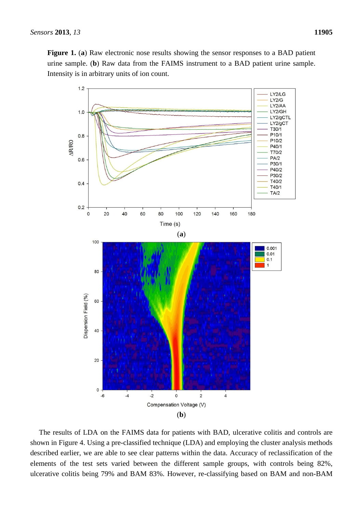**Figure 1.** (**a**) Raw electronic nose results showing the sensor responses to a BAD patient urine sample. (**b**) Raw data from the FAIMS instrument to a BAD patient urine sample. Intensity is in arbitrary units of ion count.



The results of LDA on the FAIMS data for patients with BAD, ulcerative colitis and controls are shown in Figure 4. Using a pre-classified technique (LDA) and employing the cluster analysis methods described earlier, we are able to see clear patterns within the data. Accuracy of reclassification of the elements of the test sets varied between the different sample groups, with controls being 82%, ulcerative colitis being 79% and BAM 83%. However, re-classifying based on BAM and non-BAM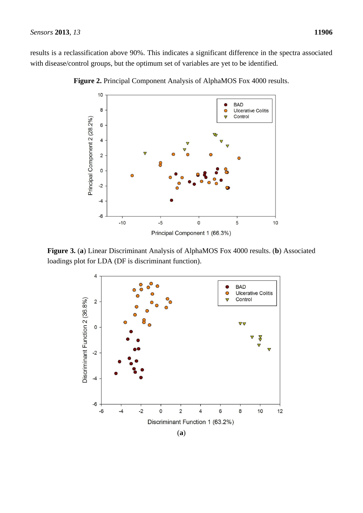results is a reclassification above 90%. This indicates a significant difference in the spectra associated with disease/control groups, but the optimum set of variables are yet to be identified.



**Figure 2.** Principal Component Analysis of AlphaMOS Fox 4000 results.

**Figure 3.** (**a**) Linear Discriminant Analysis of AlphaMOS Fox 4000 results. (**b**) Associated loadings plot for LDA (DF is discriminant function).

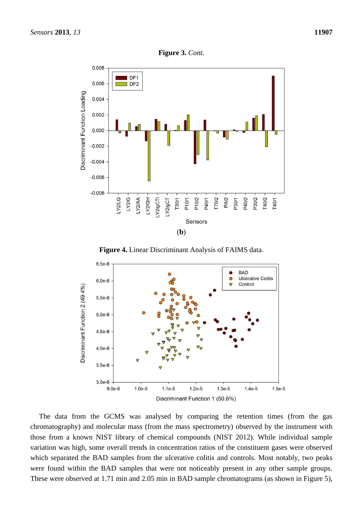

**Figure 4.** Linear Discriminant Analysis of FAIMS data.



The data from the GCMS was analysed by comparing the retention times (from the gas chromatography) and molecular mass (from the mass spectrometry) observed by the instrument with those from a known NIST library of chemical compounds (NIST 2012). While individual sample variation was high, some overall trends in concentration ratios of the constituent gases were observed which separated the BAD samples from the ulcerative colitis and controls. Most notably, two peaks were found within the BAD samples that were not noticeably present in any other sample groups. These were observed at 1.71 min and 2.05 min in BAD sample chromatograms (as shown in Figure 5),

## **Figure 3.** *Cont.*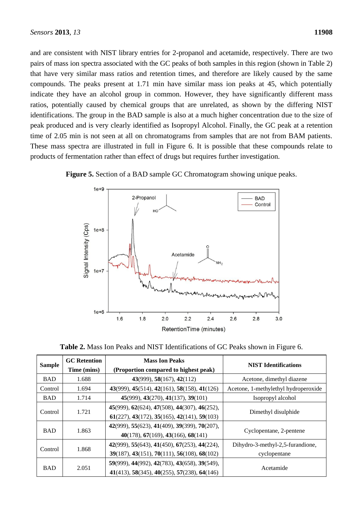and are consistent with NIST library entries for 2-propanol and acetamide, respectively. There are two pairs of mass ion spectra associated with the GC peaks of both samples in this region (shown in Table 2) that have very similar mass ratios and retention times, and therefore are likely caused by the same compounds. The peaks present at 1.71 min have similar mass ion peaks at 45, which potentially indicate they have an alcohol group in common. However, they have significantly different mass ratios, potentially caused by chemical groups that are unrelated, as shown by the differing NIST identifications. The group in the BAD sample is also at a much higher concentration due to the size of peak produced and is very clearly identified as Isopropyl Alcohol. Finally, the GC peak at a retention time of 2.05 min is not seen at all on chromatograms from samples that are not from BAM patients. These mass spectra are illustrated in full in Figure 6. It is possible that these compounds relate to products of fermentation rather than effect of drugs but requires further investigation.



**Figure 5.** Section of a BAD sample GC Chromatogram showing unique peaks.

**Table 2.** Mass Ion Peaks and NIST Identifications of GC Peaks shown in Figure 6.

| <b>Sample</b>       | <b>GC</b> Retention<br>Time (mins)            | <b>Mass Ion Peaks</b><br>(Proportion compared to highest peak) | <b>NIST</b> Identifications          |
|---------------------|-----------------------------------------------|----------------------------------------------------------------|--------------------------------------|
| <b>BAD</b>          | 1.688                                         | $43(999)$ , 58 $(167)$ , 42 $(112)$                            | Acetone, dimethyl diazene            |
| Control             | 1.694                                         | 43(999), 45(514), 42(161), 58(158), 41(126)                    | Acetone, 1-methylethyl hydroperoxide |
| <b>BAD</b>          | 1.714                                         | 45(999), 43(270), 41(137), 39(101)                             | Isopropyl alcohol                    |
| 1.721<br>Control    | 45(999), 62(624), 47(508), 44(307), 46(252),  | Dimethyl disulphide                                            |                                      |
|                     | $61(227), 43(172), 35(165), 42(141), 59(103)$ |                                                                |                                      |
| 1.863<br><b>BAD</b> | 42(999), 55(623), 41(409), 39(399), 70(207),  | Cyclopentane, 2-pentene                                        |                                      |
|                     | 40(178), 67(169), 43(166), 68(141)            |                                                                |                                      |
| 1.868<br>Control    | 42(999), 55(643), 41(450), 67(253), 44(224),  | Dihydro-3-methyl-2,5-furandione,                               |                                      |
|                     | $39(187), 43(151), 70(111), 56(108), 68(102)$ | cyclopentane                                                   |                                      |
| 2.051<br><b>BAD</b> | 59(999), 44(992), 42(783), 43(658), 39(549),  | Acetamide                                                      |                                      |
|                     | 41(413), 58(345), 40(255), 57(238), 64(146)   |                                                                |                                      |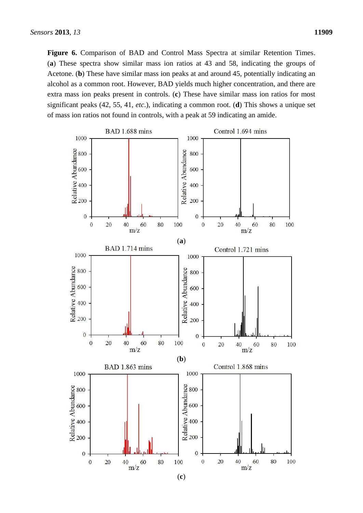**Figure 6.** Comparison of BAD and Control Mass Spectra at similar Retention Times. (**a**) These spectra show similar mass ion ratios at 43 and 58, indicating the groups of Acetone. (**b**) These have similar mass ion peaks at and around 45, potentially indicating an alcohol as a common root. However, BAD yields much higher concentration, and there are extra mass ion peaks present in controls. (**c**) These have similar mass ion ratios for most significant peaks (42, 55, 41, *etc*.), indicating a common root. (**d**) This shows a unique set of mass ion ratios not found in controls, with a peak at 59 indicating an amide.



(**c**)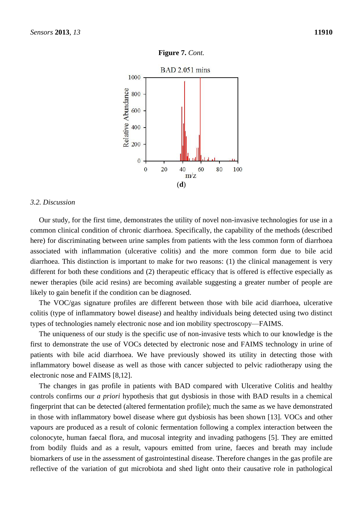

#### **Figure 7.** *Cont.*

## *3.2. Discussion*

Our study, for the first time, demonstrates the utility of novel non-invasive technologies for use in a common clinical condition of chronic diarrhoea. Specifically, the capability of the methods (described here) for discriminating between urine samples from patients with the less common form of diarrhoea associated with inflammation (ulcerative colitis) and the more common form due to bile acid diarrhoea. This distinction is important to make for two reasons: (1) the clinical management is very different for both these conditions and (2) therapeutic efficacy that is offered is effective especially as newer therapies (bile acid resins) are becoming available suggesting a greater number of people are likely to gain benefit if the condition can be diagnosed.

The VOC/gas signature profiles are different between those with bile acid diarrhoea, ulcerative colitis (type of inflammatory bowel disease) and healthy individuals being detected using two distinct types of technologies namely electronic nose and ion mobility spectroscopy—FAIMS.

The uniqueness of our study is the specific use of non-invasive tests which to our knowledge is the first to demonstrate the use of VOCs detected by electronic nose and FAIMS technology in urine of patients with bile acid diarrhoea. We have previously showed its utility in detecting those with inflammatory bowel disease as well as those with cancer subjected to pelvic radiotherapy using the electronic nose and FAIMS [8,12].

The changes in gas profile in patients with BAD compared with Ulcerative Colitis and healthy controls confirms our *a priori* hypothesis that gut dysbiosis in those with BAD results in a chemical fingerprint that can be detected (altered fermentation profile); much the same as we have demonstrated in those with inflammatory bowel disease where gut dysbiosis has been shown [13]. VOCs and other vapours are produced as a result of colonic fermentation following a complex interaction between the colonocyte, human faecal flora, and mucosal integrity and invading pathogens [5]. They are emitted from bodily fluids and as a result, vapours emitted from urine, faeces and breath may include biomarkers of use in the assessment of gastrointestinal disease. Therefore changes in the gas profile are reflective of the variation of gut microbiota and shed light onto their causative role in pathological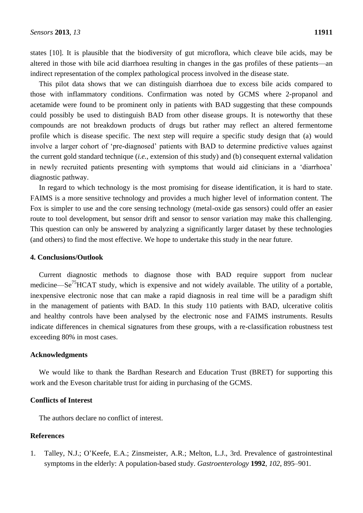states [10]. It is plausible that the biodiversity of gut microflora, which cleave bile acids, may be altered in those with bile acid diarrhoea resulting in changes in the gas profiles of these patients—an indirect representation of the complex pathological process involved in the disease state.

This pilot data shows that we can distinguish diarrhoea due to excess bile acids compared to those with inflammatory conditions. Confirmation was noted by GCMS where 2-propanol and acetamide were found to be prominent only in patients with BAD suggesting that these compounds could possibly be used to distinguish BAD from other disease groups. It is noteworthy that these compounds are not breakdown products of drugs but rather may reflect an altered fermentome profile which is disease specific. The next step will require a specific study design that (a) would involve a larger cohort of 'pre-diagnosed' patients with BAD to determine predictive values against the current gold standard technique (*i.e.*, extension of this study) and (b) consequent external validation in newly recruited patients presenting with symptoms that would aid clinicians in a 'diarrhoea' diagnostic pathway.

In regard to which technology is the most promising for disease identification, it is hard to state. FAIMS is a more sensitive technology and provides a much higher level of information content. The Fox is simpler to use and the core sensing technology (metal-oxide gas sensors) could offer an easier route to tool development, but sensor drift and sensor to sensor variation may make this challenging. This question can only be answered by analyzing a significantly larger dataset by these technologies (and others) to find the most effective. We hope to undertake this study in the near future.

# **4. Conclusions/Outlook**

Current diagnostic methods to diagnose those with BAD require support from nuclear medicine—Se<sup>75</sup>HCAT study, which is expensive and not widely available. The utility of a portable, inexpensive electronic nose that can make a rapid diagnosis in real time will be a paradigm shift in the management of patients with BAD. In this study 110 patients with BAD, ulcerative colitis and healthy controls have been analysed by the electronic nose and FAIMS instruments. Results indicate differences in chemical signatures from these groups, with a re-classification robustness test exceeding 80% in most cases.

## **Acknowledgments**

We would like to thank the Bardhan Research and Education Trust (BRET) for supporting this work and the Eveson charitable trust for aiding in purchasing of the GCMS.

#### **Conflicts of Interest**

The authors declare no conflict of interest.

## **References**

1. Talley, N.J.; O'Keefe, E.A.; Zinsmeister, A.R.; Melton, L.J., 3rd. Prevalence of gastrointestinal symptoms in the elderly: A population-based study. *Gastroenterology* **1992**, *102*, 895–901.